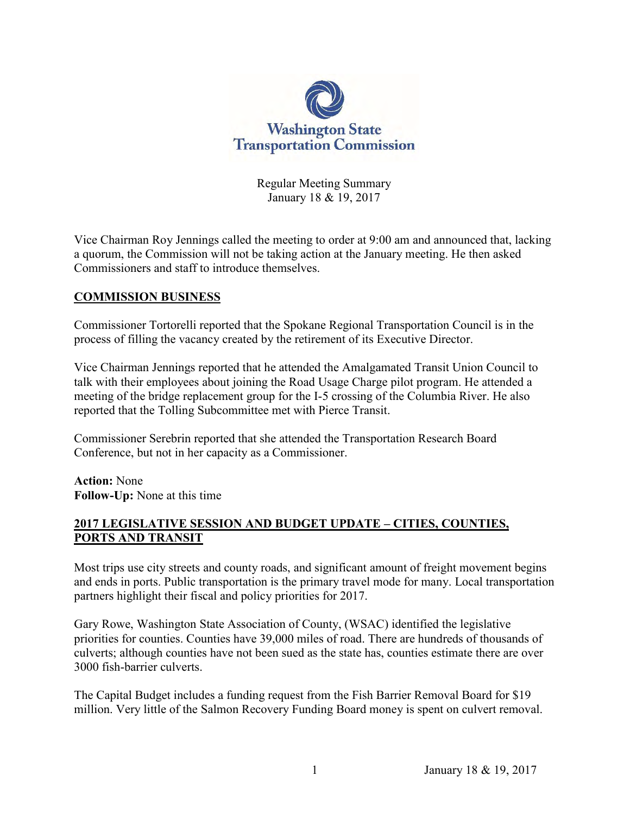

Regular Meeting Summary January 18 & 19, 2017

Vice Chairman Roy Jennings called the meeting to order at 9:00 am and announced that, lacking a quorum, the Commission will not be taking action at the January meeting. He then asked Commissioners and staff to introduce themselves.

#### **COMMISSION BUSINESS**

Commissioner Tortorelli reported that the Spokane Regional Transportation Council is in the process of filling the vacancy created by the retirement of its Executive Director.

Vice Chairman Jennings reported that he attended the Amalgamated Transit Union Council to talk with their employees about joining the Road Usage Charge pilot program. He attended a meeting of the bridge replacement group for the I-5 crossing of the Columbia River. He also reported that the Tolling Subcommittee met with Pierce Transit.

Commissioner Serebrin reported that she attended the Transportation Research Board Conference, but not in her capacity as a Commissioner.

**Action:** None **Follow-Up:** None at this time

#### **2017 LEGISLATIVE SESSION AND BUDGET UPDATE – CITIES, COUNTIES, PORTS AND TRANSIT**

Most trips use city streets and county roads, and significant amount of freight movement begins and ends in ports. Public transportation is the primary travel mode for many. Local transportation partners highlight their fiscal and policy priorities for 2017.

Gary Rowe, Washington State Association of County, (WSAC) identified the legislative priorities for counties. Counties have 39,000 miles of road. There are hundreds of thousands of culverts; although counties have not been sued as the state has, counties estimate there are over 3000 fish-barrier culverts.

The Capital Budget includes a funding request from the Fish Barrier Removal Board for \$19 million. Very little of the Salmon Recovery Funding Board money is spent on culvert removal.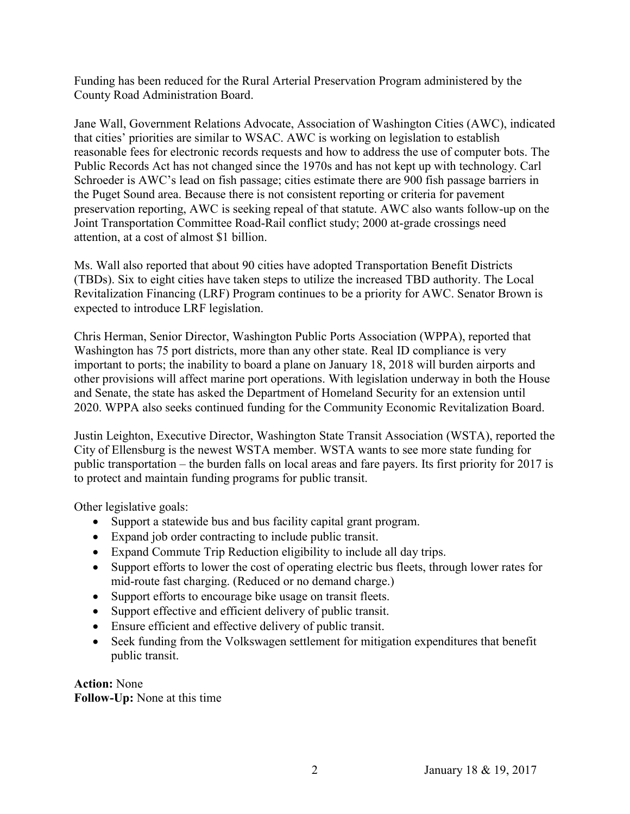Funding has been reduced for the Rural Arterial Preservation Program administered by the County Road Administration Board.

Jane Wall, Government Relations Advocate, Association of Washington Cities (AWC), indicated that cities' priorities are similar to WSAC. AWC is working on legislation to establish reasonable fees for electronic records requests and how to address the use of computer bots. The Public Records Act has not changed since the 1970s and has not kept up with technology. Carl Schroeder is AWC's lead on fish passage; cities estimate there are 900 fish passage barriers in the Puget Sound area. Because there is not consistent reporting or criteria for pavement preservation reporting, AWC is seeking repeal of that statute. AWC also wants follow-up on the Joint Transportation Committee Road-Rail conflict study; 2000 at-grade crossings need attention, at a cost of almost \$1 billion.

Ms. Wall also reported that about 90 cities have adopted Transportation Benefit Districts (TBDs). Six to eight cities have taken steps to utilize the increased TBD authority. The Local Revitalization Financing (LRF) Program continues to be a priority for AWC. Senator Brown is expected to introduce LRF legislation.

Chris Herman, Senior Director, Washington Public Ports Association (WPPA), reported that Washington has 75 port districts, more than any other state. Real ID compliance is very important to ports; the inability to board a plane on January 18, 2018 will burden airports and other provisions will affect marine port operations. With legislation underway in both the House and Senate, the state has asked the Department of Homeland Security for an extension until 2020. WPPA also seeks continued funding for the Community Economic Revitalization Board.

Justin Leighton, Executive Director, Washington State Transit Association (WSTA), reported the City of Ellensburg is the newest WSTA member. WSTA wants to see more state funding for public transportation – the burden falls on local areas and fare payers. Its first priority for 2017 is to protect and maintain funding programs for public transit.

Other legislative goals:

- Support a statewide bus and bus facility capital grant program.
- Expand job order contracting to include public transit.
- Expand Commute Trip Reduction eligibility to include all day trips.
- Support efforts to lower the cost of operating electric bus fleets, through lower rates for mid-route fast charging. (Reduced or no demand charge.)
- Support efforts to encourage bike usage on transit fleets.
- Support effective and efficient delivery of public transit.
- Ensure efficient and effective delivery of public transit.
- Seek funding from the Volkswagen settlement for mitigation expenditures that benefit public transit.

**Action:** None **Follow-Up:** None at this time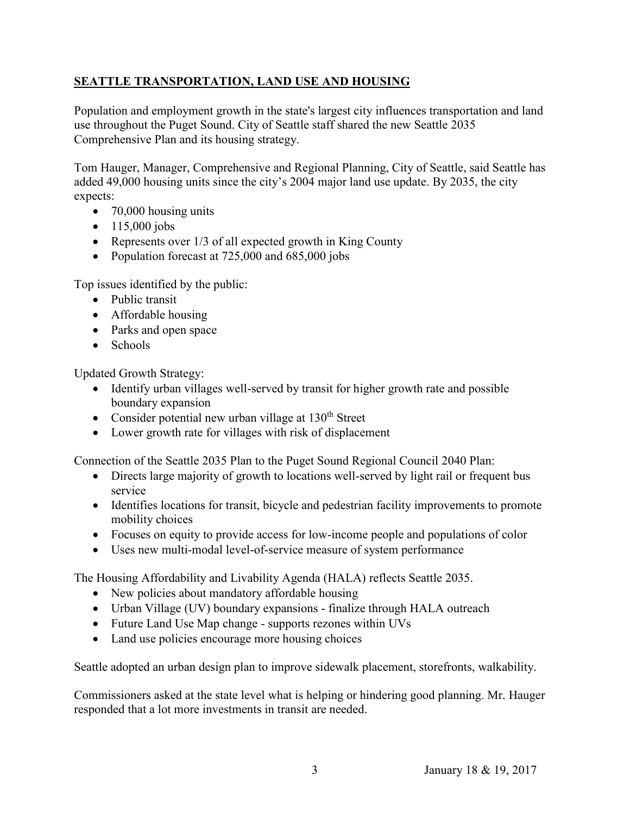# **SEATTLE TRANSPORTATION, LAND USE AND HOUSING**

Population and employment growth in the state's largest city influences transportation and land use throughout the Puget Sound. City of Seattle staff shared the new Seattle 2035 Comprehensive Plan and its housing strategy.

Tom Hauger, Manager, Comprehensive and Regional Planning, City of Seattle, said Seattle has added 49,000 housing units since the city's 2004 major land use update. By 2035, the city expects:

- 70,000 housing units
- $\bullet$  115,000 jobs
- Represents over 1/3 of all expected growth in King County
- Population forecast at 725,000 and 685,000 jobs

Top issues identified by the public:

- Public transit
- Affordable housing
- Parks and open space
- Schools

Updated Growth Strategy:

- Identify urban villages well-served by transit for higher growth rate and possible boundary expansion
- Consider potential new urban village at  $130<sup>th</sup>$  Street
- Lower growth rate for villages with risk of displacement

Connection of the Seattle 2035 Plan to the Puget Sound Regional Council 2040 Plan:

- Directs large majority of growth to locations well-served by light rail or frequent bus service
- Identifies locations for transit, bicycle and pedestrian facility improvements to promote mobility choices
- Focuses on equity to provide access for low-income people and populations of color
- Uses new multi-modal level-of-service measure of system performance

The Housing Affordability and Livability Agenda (HALA) reflects Seattle 2035.

- New policies about mandatory affordable housing
- Urban Village (UV) boundary expansions finalize through HALA outreach
- Future Land Use Map change supports rezones within UVs
- Land use policies encourage more housing choices

Seattle adopted an urban design plan to improve sidewalk placement, storefronts, walkability.

Commissioners asked at the state level what is helping or hindering good planning. Mr. Hauger responded that a lot more investments in transit are needed.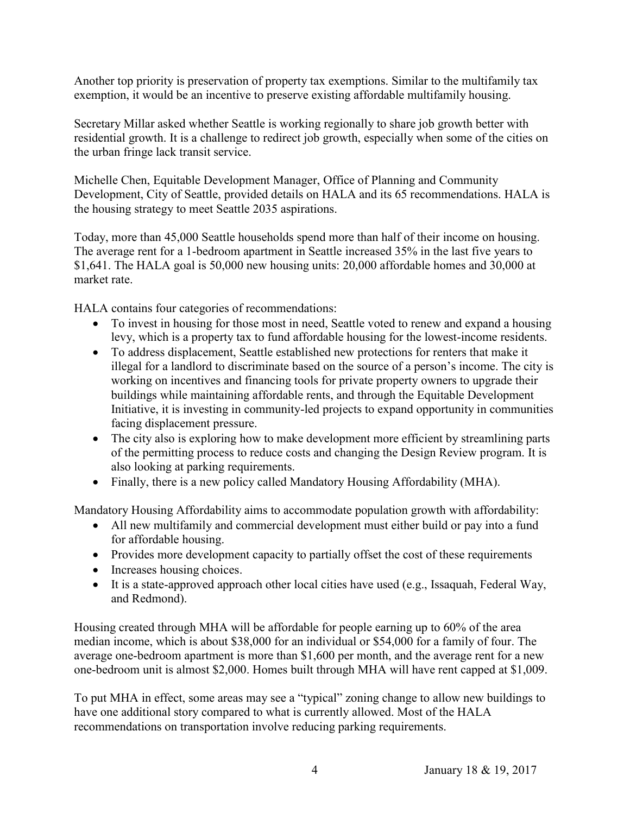Another top priority is preservation of property tax exemptions. Similar to the multifamily tax exemption, it would be an incentive to preserve existing affordable multifamily housing.

Secretary Millar asked whether Seattle is working regionally to share job growth better with residential growth. It is a challenge to redirect job growth, especially when some of the cities on the urban fringe lack transit service.

Michelle Chen, Equitable Development Manager, Office of Planning and Community Development, City of Seattle, provided details on HALA and its 65 recommendations. HALA is the housing strategy to meet Seattle 2035 aspirations.

Today, more than 45,000 Seattle households spend more than half of their income on housing. The average rent for a 1-bedroom apartment in Seattle increased 35% in the last five years to \$1,641. The HALA goal is 50,000 new housing units: 20,000 affordable homes and 30,000 at market rate.

HALA contains four categories of recommendations:

- To invest in housing for those most in need, Seattle voted to renew and expand a housing levy, which is a property tax to fund affordable housing for the lowest-income residents.
- To address displacement, Seattle established new protections for renters that make it illegal for a landlord to discriminate based on the source of a person's income. The city is working on incentives and financing tools for private property owners to upgrade their buildings while maintaining affordable rents, and through the Equitable Development Initiative, it is investing in community-led projects to expand opportunity in communities facing displacement pressure.
- The city also is exploring how to make development more efficient by streamlining parts of the permitting process to reduce costs and changing the Design Review program. It is also looking at parking requirements.
- Finally, there is a new policy called Mandatory Housing Affordability (MHA).

Mandatory Housing Affordability aims to accommodate population growth with affordability:

- All new multifamily and commercial development must either build or pay into a fund for affordable housing.
- Provides more development capacity to partially offset the cost of these requirements
- Increases housing choices.
- It is a state-approved approach other local cities have used (e.g., Issaquah, Federal Way, and Redmond).

Housing created through MHA will be affordable for people earning up to 60% of the area median income, which is about \$38,000 for an individual or \$54,000 for a family of four. The average one-bedroom apartment is more than \$1,600 per month, and the average rent for a new one-bedroom unit is almost \$2,000. Homes built through MHA will have rent capped at \$1,009.

To put MHA in effect, some areas may see a "typical" zoning change to allow new buildings to have one additional story compared to what is currently allowed. Most of the HALA recommendations on transportation involve reducing parking requirements.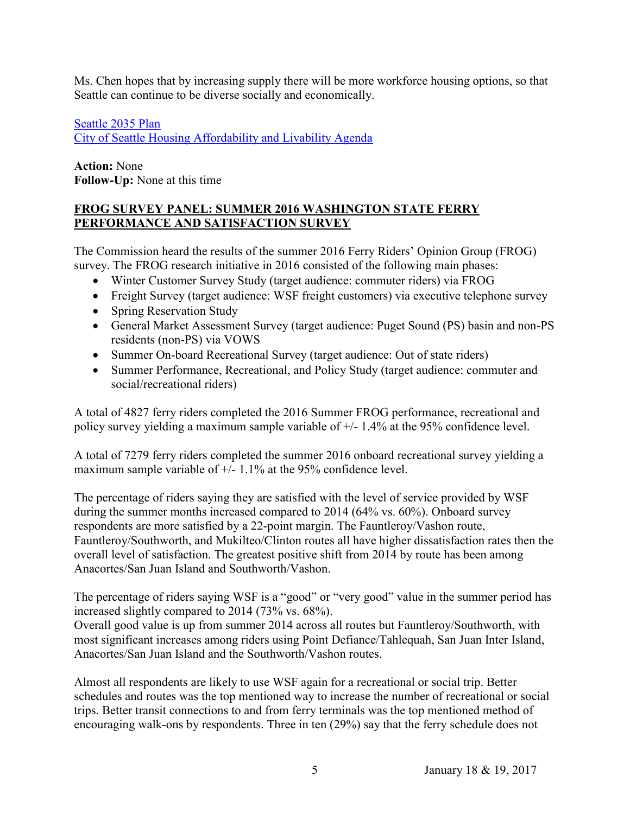Ms. Chen hopes that by increasing supply there will be more workforce housing options, so that Seattle can continue to be diverse socially and economically.

[Seattle 2035 Plan](http://www.wstc.wa.gov/Meetings/AgendasMinutes/agendas/2017/documents/2017_0118_BP3_CityofSeattleCompPlan.pdf) [City of Seattle Housing Affordability and Livability Agenda](http://www.wstc.wa.gov/Meetings/AgendasMinutes/agendas/2017/documents/2017_0118_BP3_CityofSeattle.pdf)

**Action:** None **Follow-Up:** None at this time

### **FROG SURVEY PANEL: SUMMER 2016 WASHINGTON STATE FERRY PERFORMANCE AND SATISFACTION SURVEY**

The Commission heard the results of the summer 2016 Ferry Riders' Opinion Group (FROG) survey. The FROG research initiative in 2016 consisted of the following main phases:

- Winter Customer Survey Study (target audience: commuter riders) via FROG
- Freight Survey (target audience: WSF freight customers) via executive telephone survey
- Spring Reservation Study
- General Market Assessment Survey (target audience: Puget Sound (PS) basin and non-PS residents (non-PS) via VOWS
- Summer On-board Recreational Survey (target audience: Out of state riders)
- Summer Performance, Recreational, and Policy Study (target audience: commuter and social/recreational riders)

A total of 4827 ferry riders completed the 2016 Summer FROG performance, recreational and policy survey yielding a maximum sample variable of +/- 1.4% at the 95% confidence level.

A total of 7279 ferry riders completed the summer 2016 onboard recreational survey yielding a maximum sample variable of +/- 1.1% at the 95% confidence level.

The percentage of riders saying they are satisfied with the level of service provided by WSF during the summer months increased compared to 2014 (64% vs. 60%). Onboard survey respondents are more satisfied by a 22-point margin. The Fauntleroy/Vashon route, Fauntleroy/Southworth, and Mukilteo/Clinton routes all have higher dissatisfaction rates then the overall level of satisfaction. The greatest positive shift from 2014 by route has been among Anacortes/San Juan Island and Southworth/Vashon.

The percentage of riders saying WSF is a "good" or "very good" value in the summer period has increased slightly compared to 2014 (73% vs. 68%).

Overall good value is up from summer 2014 across all routes but Fauntleroy/Southworth, with most significant increases among riders using Point Defiance/Tahlequah, San Juan Inter Island, Anacortes/San Juan Island and the Southworth/Vashon routes.

Almost all respondents are likely to use WSF again for a recreational or social trip. Better schedules and routes was the top mentioned way to increase the number of recreational or social trips. Better transit connections to and from ferry terminals was the top mentioned method of encouraging walk-ons by respondents. Three in ten (29%) say that the ferry schedule does not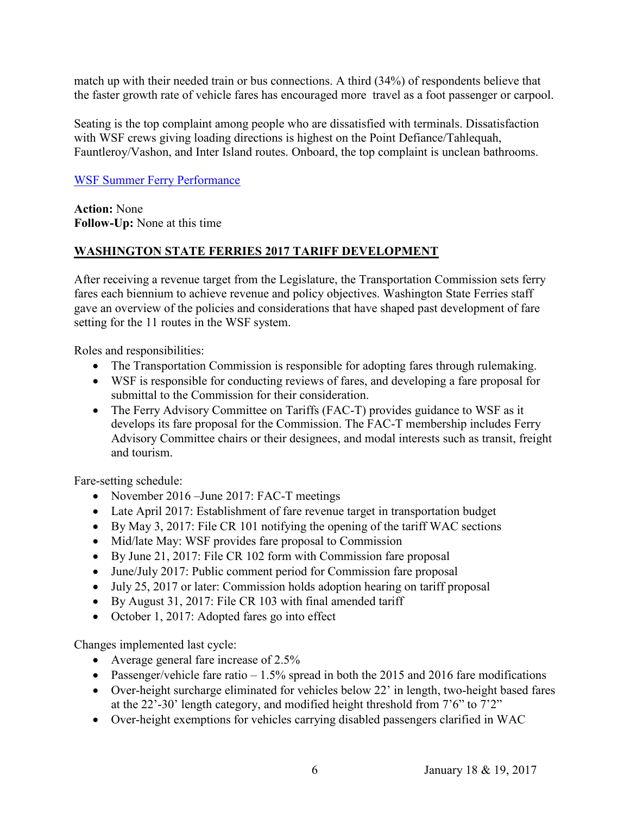match up with their needed train or bus connections. A third (34%) of respondents believe that the faster growth rate of vehicle fares has encouraged more travel as a foot passenger or carpool.

Seating is the top complaint among people who are dissatisfied with terminals. Dissatisfaction with WSF crews giving loading directions is highest on the Point Defiance/Tahlequah, Fauntleroy/Vashon, and Inter Island routes. Onboard, the top complaint is unclean bathrooms.

#### [WSF Summer Ferry Performance](http://www.wstc.wa.gov/Meetings/AgendasMinutes/agendas/2017/documents/2017_0118_BP5_SummerRecreation_Presentation_001.pdf)

**Action:** None **Follow-Up:** None at this time

### **WASHINGTON STATE FERRIES 2017 TARIFF DEVELOPMENT**

After receiving a revenue target from the Legislature, the Transportation Commission sets ferry fares each biennium to achieve revenue and policy objectives. Washington State Ferries staff gave an overview of the policies and considerations that have shaped past development of fare setting for the 11 routes in the WSF system.

Roles and responsibilities:

- The Transportation Commission is responsible for adopting fares through rulemaking.
- WSF is responsible for conducting reviews of fares, and developing a fare proposal for submittal to the Commission for their consideration.
- The Ferry Advisory Committee on Tariffs (FAC-T) provides guidance to WSF as it develops its fare proposal for the Commission. The FAC-T membership includes Ferry Advisory Committee chairs or their designees, and modal interests such as transit, freight and tourism.

Fare-setting schedule:

- November 2016 June 2017: FAC-T meetings
- Late April 2017: Establishment of fare revenue target in transportation budget
- By May 3, 2017: File CR 101 notifying the opening of the tariff WAC sections
- Mid/late May: WSF provides fare proposal to Commission
- By June 21, 2017: File CR 102 form with Commission fare proposal
- June/July 2017: Public comment period for Commission fare proposal
- July 25, 2017 or later: Commission holds adoption hearing on tariff proposal
- By August 31, 2017: File CR 103 with final amended tariff
- October 1, 2017: Adopted fares go into effect

Changes implemented last cycle:

- Average general fare increase of 2.5%
- Passenger/vehicle fare ratio  $-1.5\%$  spread in both the 2015 and 2016 fare modifications
- Over-height surcharge eliminated for vehicles below 22' in length, two-height based fares at the 22'-30' length category, and modified height threshold from 7'6" to 7'2"
- Over-height exemptions for vehicles carrying disabled passengers clarified in WAC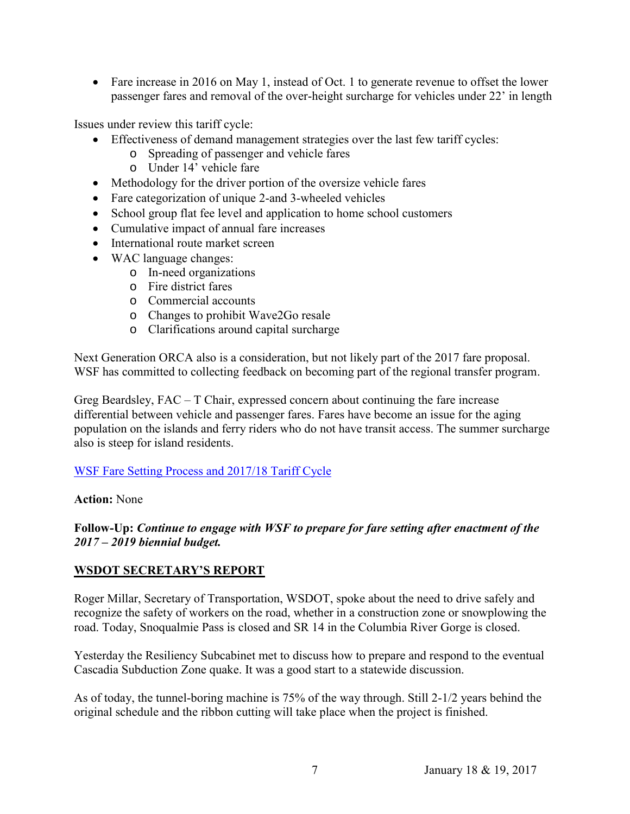• Fare increase in 2016 on May 1, instead of Oct. 1 to generate revenue to offset the lower passenger fares and removal of the over-height surcharge for vehicles under 22' in length

Issues under review this tariff cycle:

- Effectiveness of demand management strategies over the last few tariff cycles:
	- o Spreading of passenger and vehicle fares
	- o Under 14' vehicle fare
- Methodology for the driver portion of the oversize vehicle fares
- Fare categorization of unique 2-and 3-wheeled vehicles
- School group flat fee level and application to home school customers
- Cumulative impact of annual fare increases
- International route market screen
- WAC language changes:
	- o In-need organizations
	- o Fire district fares
	- o Commercial accounts
	- o Changes to prohibit Wave2Go resale
	- o Clarifications around capital surcharge

Next Generation ORCA also is a consideration, but not likely part of the 2017 fare proposal. WSF has committed to collecting feedback on becoming part of the regional transfer program.

Greg Beardsley, FAC – T Chair, expressed concern about continuing the fare increase differential between vehicle and passenger fares. Fares have become an issue for the aging population on the islands and ferry riders who do not have transit access. The summer surcharge also is steep for island residents.

#### [WSF Fare Setting Process and 2017/18 Tariff Cycle](http://www.wstc.wa.gov/Meetings/AgendasMinutes/agendas/2017/documents/2017_0118_BP6_WSFFareSettingProcess.pdf)

#### **Action:** None

#### **Follow-Up:** *Continue to engage with WSF to prepare for fare setting after enactment of the 2017 – 2019 biennial budget.*

#### **WSDOT SECRETARY'S REPORT**

Roger Millar, Secretary of Transportation, WSDOT, spoke about the need to drive safely and recognize the safety of workers on the road, whether in a construction zone or snowplowing the road. Today, Snoqualmie Pass is closed and SR 14 in the Columbia River Gorge is closed.

Yesterday the Resiliency Subcabinet met to discuss how to prepare and respond to the eventual Cascadia Subduction Zone quake. It was a good start to a statewide discussion.

As of today, the tunnel-boring machine is 75% of the way through. Still 2-1/2 years behind the original schedule and the ribbon cutting will take place when the project is finished.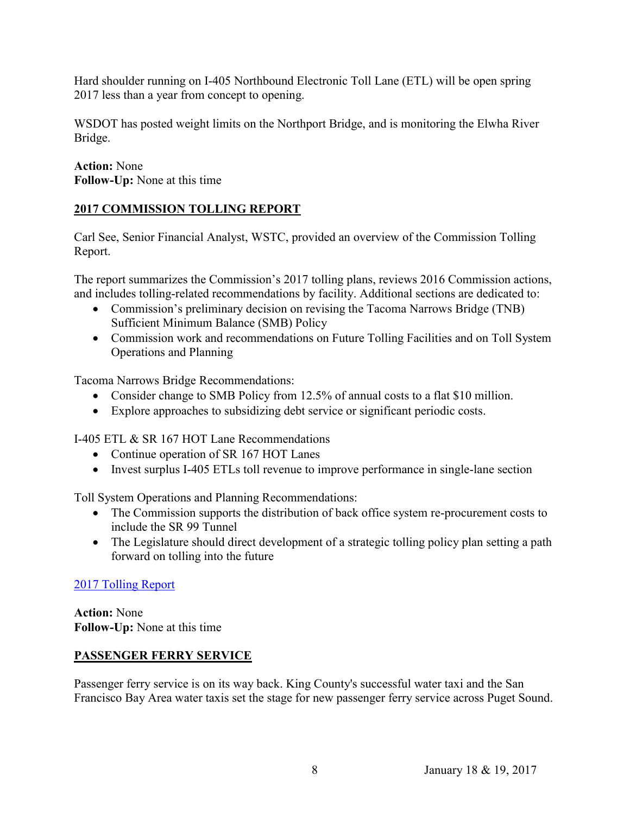Hard shoulder running on I-405 Northbound Electronic Toll Lane (ETL) will be open spring 2017 less than a year from concept to opening.

WSDOT has posted weight limits on the Northport Bridge, and is monitoring the Elwha River Bridge.

**Action:** None **Follow-Up:** None at this time

# **2017 COMMISSION TOLLING REPORT**

Carl See, Senior Financial Analyst, WSTC, provided an overview of the Commission Tolling Report.

The report summarizes the Commission's 2017 tolling plans, reviews 2016 Commission actions, and includes tolling-related recommendations by facility. Additional sections are dedicated to:

- Commission's preliminary decision on revising the Tacoma Narrows Bridge (TNB) Sufficient Minimum Balance (SMB) Policy
- Commission work and recommendations on Future Tolling Facilities and on Toll System Operations and Planning

Tacoma Narrows Bridge Recommendations:

- Consider change to SMB Policy from 12.5% of annual costs to a flat \$10 million.
- Explore approaches to subsidizing debt service or significant periodic costs.

I-405 ETL & SR 167 HOT Lane Recommendations

- Continue operation of SR 167 HOT Lanes
- Invest surplus I-405 ETLs toll revenue to improve performance in single-lane section

Toll System Operations and Planning Recommendations:

- The Commission supports the distribution of back office system re-procurement costs to include the SR 99 Tunnel
- The Legislature should direct development of a strategic tolling policy plan setting a path forward on tolling into the future

### [2017 Tolling Report](http://www.wstc.wa.gov/Meetings/AgendasMinutes/agendas/2017/documents/2017_0119_BP13_WSTC_2017TollingReportOverview.pdf)

**Action:** None **Follow-Up:** None at this time

### **PASSENGER FERRY SERVICE**

Passenger ferry service is on its way back. King County's successful water taxi and the San Francisco Bay Area water taxis set the stage for new passenger ferry service across Puget Sound.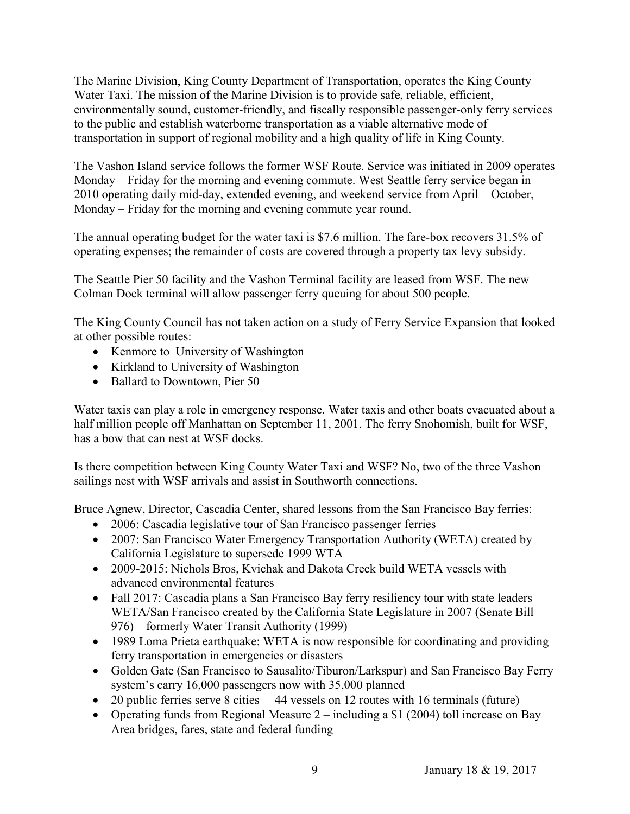The Marine Division, King County Department of Transportation, operates the King County Water Taxi. The mission of the Marine Division is to provide safe, reliable, efficient, environmentally sound, customer-friendly, and fiscally responsible passenger-only ferry services to the public and establish waterborne transportation as a viable alternative mode of transportation in support of regional mobility and a high quality of life in King County.

The Vashon Island service follows the former WSF Route. Service was initiated in 2009 operates Monday – Friday for the morning and evening commute. West Seattle ferry service began in 2010 operating daily mid-day, extended evening, and weekend service from April – October, Monday – Friday for the morning and evening commute year round.

The annual operating budget for the water taxi is \$7.6 million. The fare-box recovers 31.5% of operating expenses; the remainder of costs are covered through a property tax levy subsidy.

The Seattle Pier 50 facility and the Vashon Terminal facility are leased from WSF. The new Colman Dock terminal will allow passenger ferry queuing for about 500 people.

The King County Council has not taken action on a study of Ferry Service Expansion that looked at other possible routes:

- Kenmore to University of Washington
- Kirkland to University of Washington
- Ballard to Downtown, Pier 50

Water taxis can play a role in emergency response. Water taxis and other boats evacuated about a half million people off Manhattan on September 11, 2001. The ferry Snohomish, built for WSF, has a bow that can nest at WSF docks.

Is there competition between King County Water Taxi and WSF? No, two of the three Vashon sailings nest with WSF arrivals and assist in Southworth connections.

Bruce Agnew, Director, Cascadia Center, shared lessons from the San Francisco Bay ferries:

- 2006: Cascadia legislative tour of San Francisco passenger ferries
- 2007: San Francisco Water Emergency Transportation Authority (WETA) created by California Legislature to supersede 1999 WTA
- 2009-2015: Nichols Bros, Kvichak and Dakota Creek build WETA vessels with advanced environmental features
- Fall 2017: Cascadia plans a San Francisco Bay ferry resiliency tour with state leaders WETA/San Francisco created by the California State Legislature in 2007 (Senate Bill 976) – formerly Water Transit Authority (1999)
- 1989 Loma Prieta earthquake: WETA is now responsible for coordinating and providing ferry transportation in emergencies or disasters
- Golden Gate (San Francisco to Sausalito/Tiburon/Larkspur) and San Francisco Bay Ferry system's carry 16,000 passengers now with 35,000 planned
- 20 public ferries serve 8 cities 44 vessels on 12 routes with 16 terminals (future)
- Operating funds from Regional Measure  $2$  including a \$1 (2004) toll increase on Bay Area bridges, fares, state and federal funding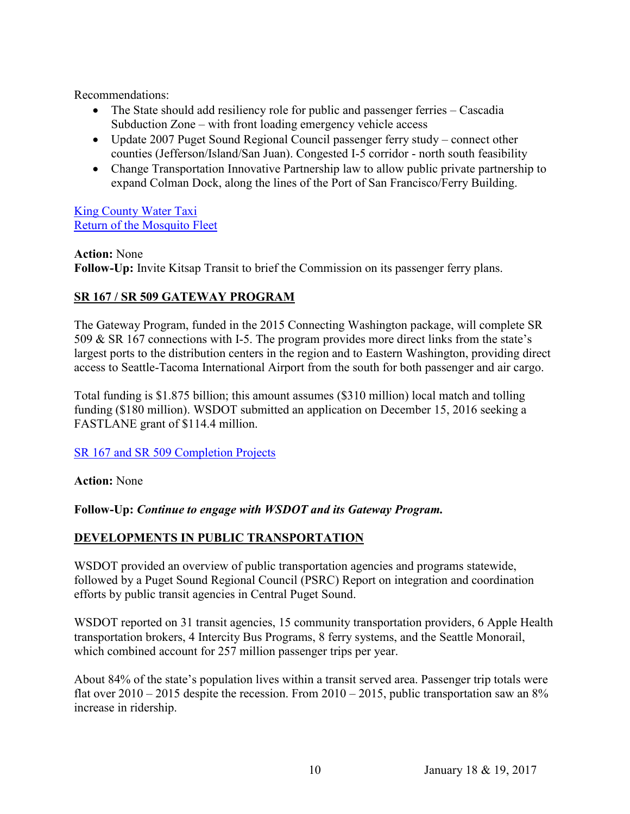Recommendations:

- The State should add resiliency role for public and passenger ferries Cascadia Subduction Zone – with front loading emergency vehicle access
- Update 2007 Puget Sound Regional Council passenger ferry study connect other counties (Jefferson/Island/San Juan). Congested I-5 corridor - north south feasibility
- Change Transportation Innovative Partnership law to allow public private partnership to expand Colman Dock, along the lines of the Port of San Francisco/Ferry Building.

[King County Water Taxi](http://www.wstc.wa.gov/Meetings/AgendasMinutes/agendas/2017/documents/2017_0118_BP7_KingCountyPassengerFerryService_000.pdf) [Return of the Mosquito Fleet](http://www.wstc.wa.gov/Meetings/AgendasMinutes/agendas/2017/documents/2017_0118_BP7_BAgnew_PassengerFerryService.pdf)

**Action:** None **Follow-Up:** Invite Kitsap Transit to brief the Commission on its passenger ferry plans.

### **SR 167 / SR 509 GATEWAY PROGRAM**

The Gateway Program, funded in the 2015 Connecting Washington package, will complete SR 509 & SR 167 connections with I-5. The program provides more direct links from the state's largest ports to the distribution centers in the region and to Eastern Washington, providing direct access to Seattle-Tacoma International Airport from the south for both passenger and air cargo.

Total funding is \$1.875 billion; this amount assumes (\$310 million) local match and tolling funding (\$180 million). WSDOT submitted an application on December 15, 2016 seeking a FASTLANE grant of \$114.4 million.

[SR 167 and SR 509 Completion Projects](http://www.wstc.wa.gov/Meetings/AgendasMinutes/agendas/2017/documents/2017_0119_BP9_PugetSoundGateway.pdf)

**Action:** None

**Follow-Up:** *Continue to engage with WSDOT and its Gateway Program.*

### **DEVELOPMENTS IN PUBLIC TRANSPORTATION**

WSDOT provided an overview of public transportation agencies and programs statewide, followed by a Puget Sound Regional Council (PSRC) Report on integration and coordination efforts by public transit agencies in Central Puget Sound.

WSDOT reported on 31 transit agencies, 15 community transportation providers, 6 Apple Health transportation brokers, 4 Intercity Bus Programs, 8 ferry systems, and the Seattle Monorail, which combined account for 257 million passenger trips per year.

About 84% of the state's population lives within a transit served area. Passenger trip totals were flat over  $2010 - 2015$  despite the recession. From  $2010 - 2015$ , public transportation saw an  $8\%$ increase in ridership.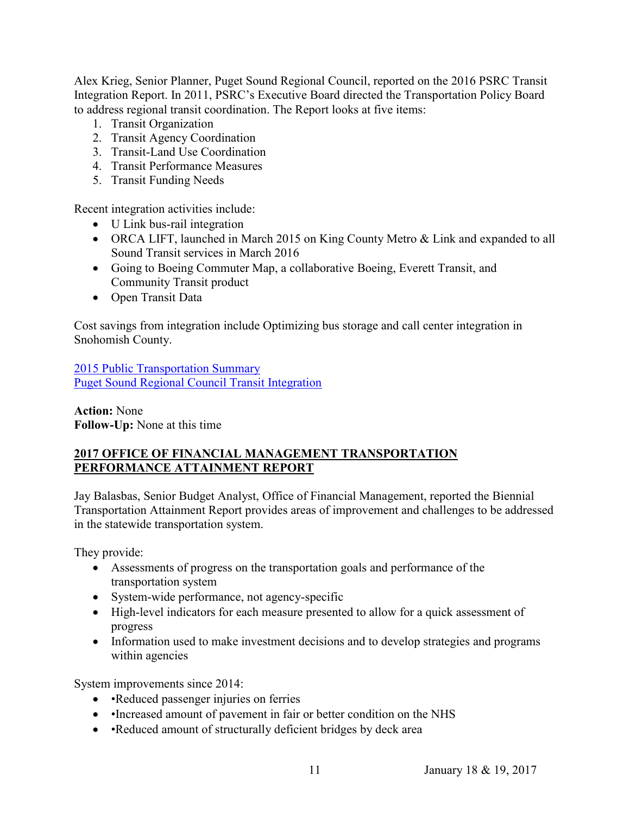Alex Krieg, Senior Planner, Puget Sound Regional Council, reported on the 2016 PSRC Transit Integration Report. In 2011, PSRC's Executive Board directed the Transportation Policy Board to address regional transit coordination. The Report looks at five items:

- 1. Transit Organization
- 2. Transit Agency Coordination
- 3. Transit-Land Use Coordination
- 4. Transit Performance Measures
- 5. Transit Funding Needs

Recent integration activities include:

- U Link bus-rail integration
- ORCA LIFT, launched in March 2015 on King County Metro & Link and expanded to all Sound Transit services in March 2016
- Going to Boeing Commuter Map, a collaborative Boeing, Everett Transit, and Community Transit product
- Open Transit Data

Cost savings from integration include Optimizing bus storage and call center integration in Snohomish County.

[2015 Public Transportation Summary](http://www.wstc.wa.gov/Meetings/AgendasMinutes/agendas/2017/documents/2017_0119_BP11_PublicTransportationOverview.pdf) [Puget Sound Regional Council Transit Integration](http://www.wstc.wa.gov/Meetings/AgendasMinutes/agendas/2017/documents/2017_0119_BP11_2016TransitIntegrationReport.pdf)

**Action:** None **Follow-Up:** None at this time

### **2017 OFFICE OF FINANCIAL MANAGEMENT TRANSPORTATION PERFORMANCE ATTAINMENT REPORT**

Jay Balasbas, Senior Budget Analyst, Office of Financial Management, reported the Biennial Transportation Attainment Report provides areas of improvement and challenges to be addressed in the statewide transportation system.

They provide:

- Assessments of progress on the transportation goals and performance of the transportation system
- System-wide performance, not agency-specific
- High-level indicators for each measure presented to allow for a quick assessment of progress
- Information used to make investment decisions and to develop strategies and programs within agencies

System improvements since 2014:

- •Reduced passenger injuries on ferries
- Increased amount of pavement in fair or better condition on the NHS
- •Reduced amount of structurally deficient bridges by deck area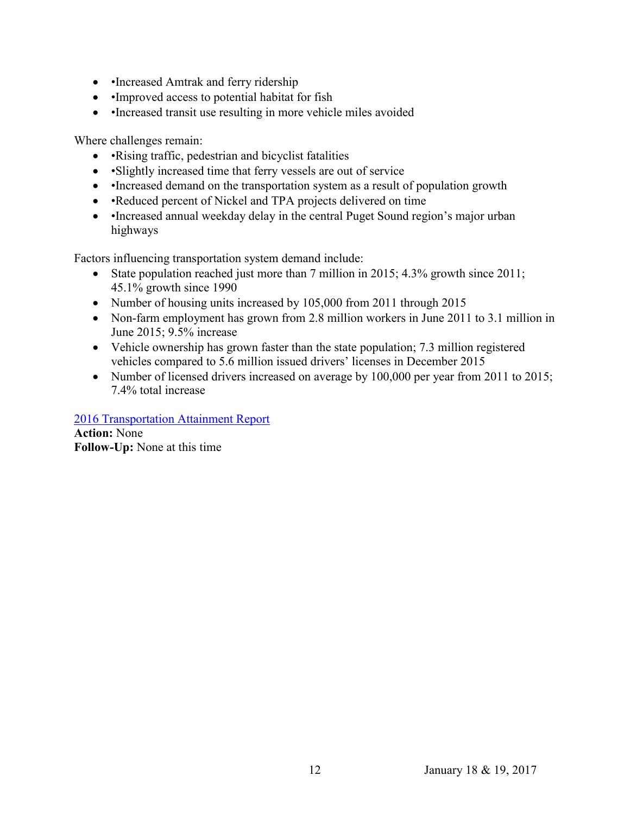- Increased Amtrak and ferry ridership
- Improved access to potential habitat for fish
- Increased transit use resulting in more vehicle miles avoided

Where challenges remain:

- •Rising traffic, pedestrian and bicyclist fatalities
- Slightly increased time that ferry vessels are out of service
- •Increased demand on the transportation system as a result of population growth
- •Reduced percent of Nickel and TPA projects delivered on time
- •Increased annual weekday delay in the central Puget Sound region's major urban highways

Factors influencing transportation system demand include:

- State population reached just more than 7 million in 2015; 4.3% growth since 2011; 45.1% growth since 1990
- Number of housing units increased by 105,000 from 2011 through 2015
- Non-farm employment has grown from 2.8 million workers in June 2011 to 3.1 million in June 2015; 9.5% increase
- Vehicle ownership has grown faster than the state population; 7.3 million registered vehicles compared to 5.6 million issued drivers' licenses in December 2015
- Number of licensed drivers increased on average by 100,000 per year from 2011 to 2015; 7.4% total increase

[2016 Transportation Attainment Report](http://www.wstc.wa.gov/Meetings/AgendasMinutes/agendas/2017/documents/2017_0119_BP12_AttainmentReport.pdf)

**Action:** None **Follow-Up:** None at this time